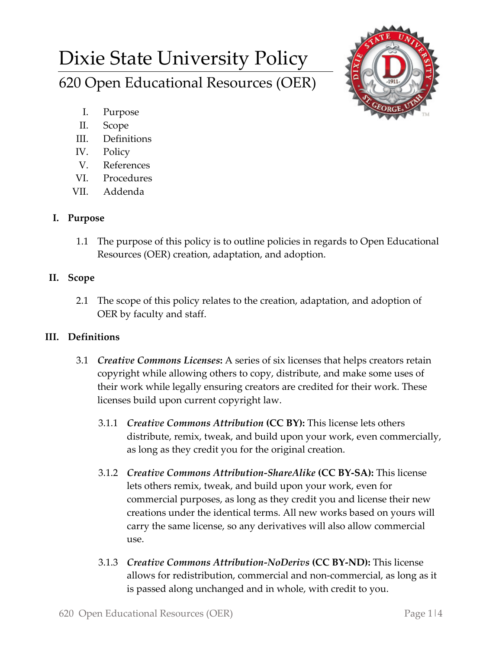# Dixie State University Policy 620 Open Educational Resources (OER)



- I. Purpose
- II. Scope
- III. Definitions
- IV. Policy
- V. References
- VI. Procedures
- VII. Addenda

## **I. Purpose**

1.1 The purpose of this policy is to outline policies in regards to Open Educational Resources (OER) creation, adaptation, and adoption.

## **II. Scope**

2.1 The scope of this policy relates to the creation, adaptation, and adoption of OER by faculty and staff.

### **III. Definitions**

- 3.1 *Creative Commons Licenses***:** A series of six licenses that helps creators retain copyright while allowing others to copy, distribute, and make some uses of their work while legally ensuring creators are credited for their work. These licenses build upon current copyright law.
	- 3.1.1 *Creative Commons Attribution* **(CC BY):** This license lets others distribute, remix, tweak, and build upon your work, even commercially, as long as they credit you for the original creation.
	- 3.1.2 *Creative Commons Attribution-ShareAlike* **(CC BY-SA):** This license lets others remix, tweak, and build upon your work, even for commercial purposes, as long as they credit you and license their new creations under the identical terms. All new works based on yours will carry the same license, so any derivatives will also allow commercial use.
	- 3.1.3 *Creative Commons Attribution-NoDerivs* **(CC BY-ND):** This license allows for redistribution, commercial and non-commercial, as long as it is passed along unchanged and in whole, with credit to you.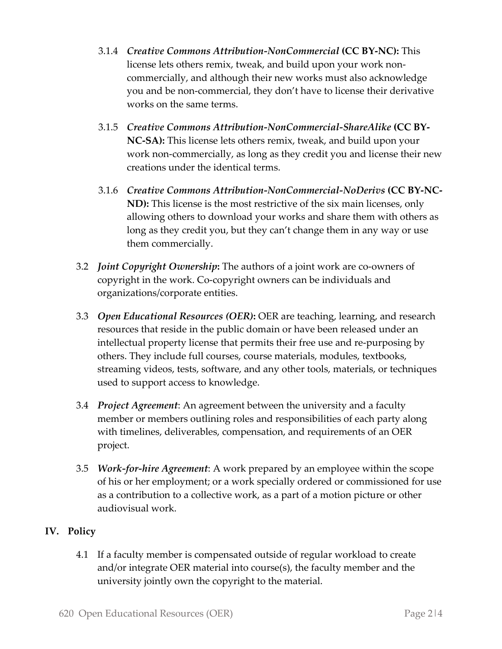- 3.1.4 *Creative Commons Attribution-NonCommercial* **(CC BY-NC):** This license lets others remix, tweak, and build upon your work noncommercially, and although their new works must also acknowledge you and be non-commercial, they don't have to license their derivative works on the same terms.
- 3.1.5 *Creative Commons Attribution-NonCommercial-ShareAlike* **(CC BY-NC-SA):** This license lets others remix, tweak, and build upon your work non-commercially, as long as they credit you and license their new creations under the identical terms.
- 3.1.6 *Creative Commons Attribution-NonCommercial-NoDerivs* **(CC BY-NC-ND):** This license is the most restrictive of the six main licenses, only allowing others to download your works and share them with others as long as they credit you, but they can't change them in any way or use them commercially.
- 3.2 *Joint Copyright Ownership***:** The authors of a joint work are co-owners of copyright in the work. Co-copyright owners can be individuals and organizations/corporate entities.
- 3.3 *Open Educational Resources (OER)***:** OER are teaching, learning, and research resources that reside in the public domain or have been released under an intellectual property license that permits their free use and re-purposing by others. They include full courses, course materials, modules, textbooks, streaming videos, tests, software, and any other tools, materials, or techniques used to support access to knowledge.
- 3.4 *Project Agreement*: An agreement between the university and a faculty member or members outlining roles and responsibilities of each party along with timelines, deliverables, compensation, and requirements of an OER project.
- 3.5 *Work-for-hire Agreement*: A work prepared by an employee within the scope of his or her employment; or a work specially ordered or commissioned for use as a contribution to a collective work, as a part of a motion picture or other audiovisual work.

### **IV. Policy**

4.1 If a faculty member is compensated outside of regular workload to create and/or integrate OER material into course(s), the faculty member and the university jointly own the copyright to the material.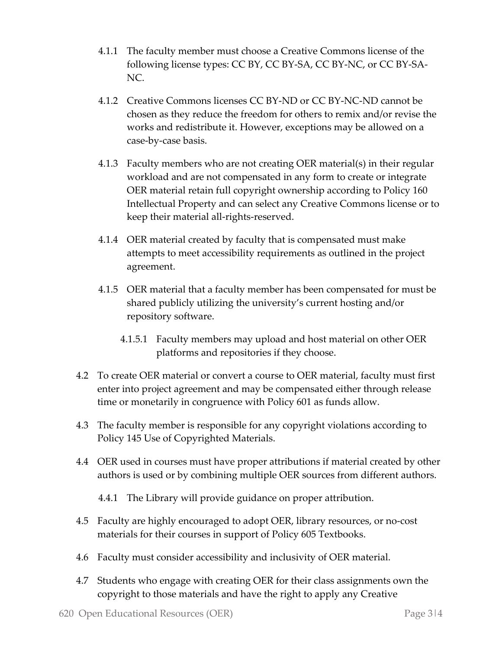- 4.1.1 The faculty member must choose a Creative Commons license of the following license types: CC BY, CC BY-SA, CC BY-NC, or CC BY-SA-NC.
- 4.1.2 Creative Commons licenses CC BY-ND or CC BY-NC-ND cannot be chosen as they reduce the freedom for others to remix and/or revise the works and redistribute it. However, exceptions may be allowed on a case-by-case basis.
- 4.1.3 Faculty members who are not creating OER material(s) in their regular workload and are not compensated in any form to create or integrate OER material retain full copyright ownership according to Policy 160 Intellectual Property and can select any Creative Commons license or to keep their material all-rights-reserved.
- 4.1.4 OER material created by faculty that is compensated must make attempts to meet accessibility requirements as outlined in the project agreement.
- 4.1.5 OER material that a faculty member has been compensated for must be shared publicly utilizing the university's current hosting and/or repository software.
	- 4.1.5.1 Faculty members may upload and host material on other OER platforms and repositories if they choose.
- 4.2 To create OER material or convert a course to OER material, faculty must first enter into project agreement and may be compensated either through release time or monetarily in congruence with Policy 601 as funds allow.
- 4.3 The faculty member is responsible for any copyright violations according to Policy 145 Use of Copyrighted Materials.
- 4.4 OER used in courses must have proper attributions if material created by other authors is used or by combining multiple OER sources from different authors.
	- 4.4.1 The Library will provide guidance on proper attribution.
- 4.5 Faculty are highly encouraged to adopt OER, library resources, or no-cost materials for their courses in support of Policy 605 Textbooks.
- 4.6 Faculty must consider accessibility and inclusivity of OER material.
- 4.7 Students who engage with creating OER for their class assignments own the copyright to those materials and have the right to apply any Creative